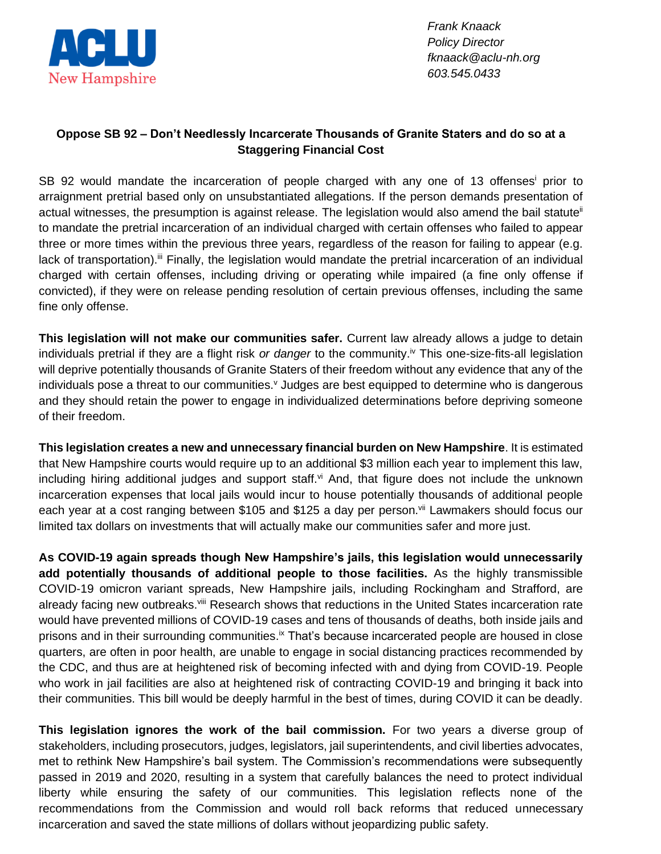

*Frank Knaack Policy Director fknaack@aclu-nh.org 603.545.0433*

## **Oppose SB 92 – Don't Needlessly Incarcerate Thousands of Granite Staters and do so at a Staggering Financial Cost**

SB 92 would mandate the incarceration of people charged with any one of 13 offenses prior to arraignment pretrial based only on unsubstantiated allegations. If the person demands presentation of actual witnesses, the presumption is against release. The legislation would also amend the bail statute<sup>ii</sup> to mandate the pretrial incarceration of an individual charged with certain offenses who failed to appear three or more times within the previous three years, regardless of the reason for failing to appear (e.g. lack of transportation).<sup>iii</sup> Finally, the legislation would mandate the pretrial incarceration of an individual charged with certain offenses, including driving or operating while impaired (a fine only offense if convicted), if they were on release pending resolution of certain previous offenses, including the same fine only offense.

**This legislation will not make our communities safer.** Current law already allows a judge to detain individuals pretrial if they are a flight risk *or danger* to the community.<sup>iv</sup> This one-size-fits-all legislation will deprive potentially thousands of Granite Staters of their freedom without any evidence that any of the individuals pose a threat to our communities.<sup>v</sup> Judges are best equipped to determine who is dangerous and they should retain the power to engage in individualized determinations before depriving someone of their freedom.

**This legislation creates a new and unnecessary financial burden on New Hampshire**. It is estimated that New Hampshire courts would require up to an additional \$3 million each year to implement this law, including hiring additional judges and support staff.<sup>vi</sup> And, that figure does not include the unknown incarceration expenses that local jails would incur to house potentially thousands of additional people each year at a cost ranging between \$105 and \$125 a day per person.<sup>vii</sup> Lawmakers should focus our limited tax dollars on investments that will actually make our communities safer and more just.

**As COVID-19 again spreads though New Hampshire's jails, this legislation would unnecessarily add potentially thousands of additional people to those facilities.** As the highly transmissible COVID-19 omicron variant spreads, New Hampshire jails, including Rockingham and Strafford, are already facing new outbreaks. Vill Research shows that reductions in the United States incarceration rate would have prevented millions of COVID-19 cases and tens of thousands of deaths, both inside jails and prisons and in their surrounding communities.<sup>ix</sup> That's because incarcerated people are housed in close quarters, are often in poor health, are unable to engage in social distancing practices recommended by the CDC, and thus are at heightened risk of becoming infected with and dying from COVID-19. People who work in jail facilities are also at heightened risk of contracting COVID-19 and bringing it back into their communities. This bill would be deeply harmful in the best of times, during COVID it can be deadly.

**This legislation ignores the work of the bail commission.** For two years a diverse group of stakeholders, including prosecutors, judges, legislators, jail superintendents, and civil liberties advocates, met to rethink New Hampshire's bail system. The Commission's recommendations were subsequently passed in 2019 and 2020, resulting in a system that carefully balances the need to protect individual liberty while ensuring the safety of our communities. This legislation reflects none of the recommendations from the Commission and would roll back reforms that reduced unnecessary incarceration and saved the state millions of dollars without jeopardizing public safety.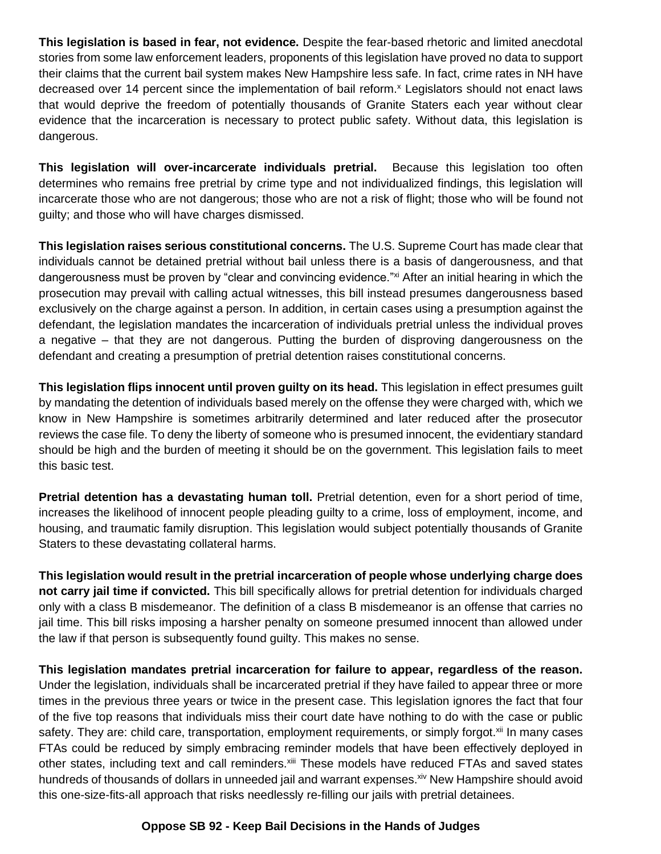**This legislation is based in fear, not evidence.** Despite the fear-based rhetoric and limited anecdotal stories from some law enforcement leaders, proponents of this legislation have proved no data to support their claims that the current bail system makes New Hampshire less safe. In fact, crime rates in NH have decreased over 14 percent since the implementation of bail reform.<sup>x</sup> Legislators should not enact laws that would deprive the freedom of potentially thousands of Granite Staters each year without clear evidence that the incarceration is necessary to protect public safety. Without data, this legislation is dangerous.

**This legislation will over-incarcerate individuals pretrial.** Because this legislation too often determines who remains free pretrial by crime type and not individualized findings, this legislation will incarcerate those who are not dangerous; those who are not a risk of flight; those who will be found not guilty; and those who will have charges dismissed.

**This legislation raises serious constitutional concerns.** The U.S. Supreme Court has made clear that individuals cannot be detained pretrial without bail unless there is a basis of dangerousness, and that dangerousness must be proven by "clear and convincing evidence."<sup>xi</sup> After an initial hearing in which the prosecution may prevail with calling actual witnesses, this bill instead presumes dangerousness based exclusively on the charge against a person. In addition, in certain cases using a presumption against the defendant, the legislation mandates the incarceration of individuals pretrial unless the individual proves a negative – that they are not dangerous. Putting the burden of disproving dangerousness on the defendant and creating a presumption of pretrial detention raises constitutional concerns.

**This legislation flips innocent until proven guilty on its head.** This legislation in effect presumes guilt by mandating the detention of individuals based merely on the offense they were charged with, which we know in New Hampshire is sometimes arbitrarily determined and later reduced after the prosecutor reviews the case file. To deny the liberty of someone who is presumed innocent, the evidentiary standard should be high and the burden of meeting it should be on the government. This legislation fails to meet this basic test.

**Pretrial detention has a devastating human toll.** Pretrial detention, even for a short period of time, increases the likelihood of innocent people pleading guilty to a crime, loss of employment, income, and housing, and traumatic family disruption. This legislation would subject potentially thousands of Granite Staters to these devastating collateral harms.

**This legislation would result in the pretrial incarceration of people whose underlying charge does not carry jail time if convicted.** This bill specifically allows for pretrial detention for individuals charged only with a class B misdemeanor. The definition of a class B misdemeanor is an offense that carries no jail time. This bill risks imposing a harsher penalty on someone presumed innocent than allowed under the law if that person is subsequently found guilty. This makes no sense.

**This legislation mandates pretrial incarceration for failure to appear, regardless of the reason.** Under the legislation, individuals shall be incarcerated pretrial if they have failed to appear three or more times in the previous three years or twice in the present case. This legislation ignores the fact that four of the five top reasons that individuals miss their court date have nothing to do with the case or public safety. They are: child care, transportation, employment requirements, or simply forgot.<sup>xii</sup> In many cases FTAs could be reduced by simply embracing reminder models that have been effectively deployed in other states, including text and call reminders.<sup>xiii</sup> These models have reduced FTAs and saved states hundreds of thousands of dollars in unneeded jail and warrant expenses.<sup>xiv</sup> New Hampshire should avoid this one-size-fits-all approach that risks needlessly re-filling our jails with pretrial detainees.

## **Oppose SB 92 - Keep Bail Decisions in the Hands of Judges**